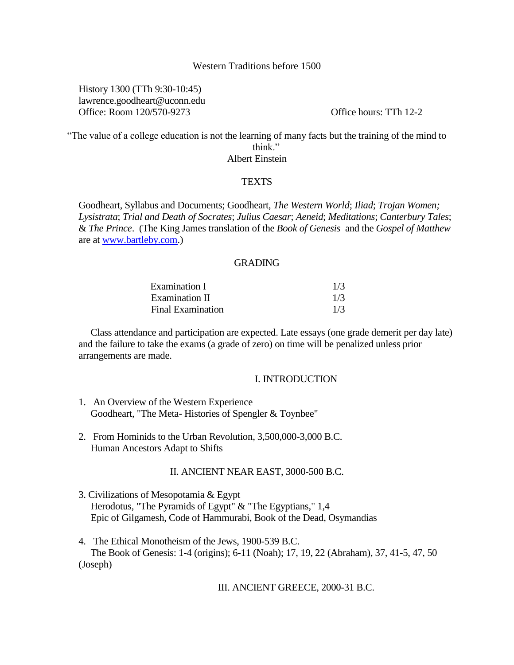# Western Traditions before 1500

History 1300 (TTh 9:30-10:45) lawrence.goodheart@uconn.edu Office: Room 120/570-9273 Office hours: TTh 12-2

"The value of a college education is not the learning of many facts but the training of the mind to think."

Albert Einstein

# **TEXTS**

Goodheart, Syllabus and Documents; Goodheart, *The Western World*; *Iliad*; *Trojan Women; Lysistrata*; *Trial and Death of Socrates*; *Julius Caesar*; *Aeneid*; *Meditations*; *Canterbury Tales*; & *The Prince*. (The King James translation of the *Book of Genesis* and the *Gospel of Matthew*  are at [www.bartleby.com.](http://www.bartleby.com/))

# GRADING

| Examination I                              | 1/3 |
|--------------------------------------------|-----|
| Examination II<br><b>Final Examination</b> | 1/3 |
|                                            | 1/3 |

Class attendance and participation are expected. Late essays (one grade demerit per day late) and the failure to take the exams (a grade of zero) on time will be penalized unless prior arrangements are made.

#### I. INTRODUCTION

- 1. An Overview of the Western Experience Goodheart, "The Meta- Histories of Spengler & Toynbee"
- 2. From Hominids to the Urban Revolution, 3,500,000-3,000 B.C. Human Ancestors Adapt to Shifts

### II. ANCIENT NEAR EAST, 3000-500 B.C.

- 3. Civilizations of Mesopotamia & Egypt Herodotus, "The Pyramids of Egypt" & "The Egyptians," 1,4 Epic of Gilgamesh, Code of Hammurabi, Book of the Dead, Osymandias
- 4. The Ethical Monotheism of the Jews, 1900-539 B.C. The Book of Genesis: 1-4 (origins); 6-11 (Noah); 17, 19, 22 (Abraham), 37, 41-5, 47, 50 (Joseph)

#### III. ANCIENT GREECE, 2000-31 B.C.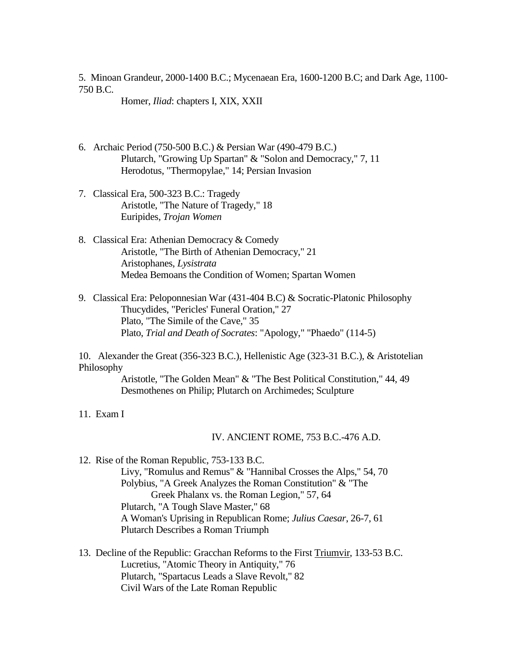5. Minoan Grandeur, 2000-1400 B.C.; Mycenaean Era, 1600-1200 B.C; and Dark Age, 1100- 750 B.C.

Homer, *Iliad*: chapters I, XIX, XXII

- 6. Archaic Period (750-500 B.C.) & Persian War (490-479 B.C.) Plutarch, "Growing Up Spartan" & "Solon and Democracy," 7, 11 Herodotus, "Thermopylae," 14; Persian Invasion
- 7. Classical Era, 500-323 B.C.: Tragedy Aristotle, "The Nature of Tragedy," 18 Euripides, *Trojan Women*
- 8. Classical Era: Athenian Democracy & Comedy Aristotle, "The Birth of Athenian Democracy," 21 Aristophanes, *Lysistrata* Medea Bemoans the Condition of Women; Spartan Women
- 9. Classical Era: Peloponnesian War (431-404 B.C) & Socratic-Platonic Philosophy Thucydides, "Pericles' Funeral Oration," 27 Plato, "The Simile of the Cave," 35 Plato, *Trial and Death of Socrates*: "Apology," "Phaedo" (114-5)

10. Alexander the Great (356-323 B.C.), Hellenistic Age (323-31 B.C.), & Aristotelian Philosophy

> Aristotle, "The Golden Mean" & "The Best Political Constitution," 44, 49 Desmothenes on Philip; Plutarch on Archimedes; Sculpture

11. Exam I

### IV. ANCIENT ROME, 753 B.C.-476 A.D.

12. Rise of the Roman Republic, 753-133 B.C. Livy, "Romulus and Remus" & "Hannibal Crosses the Alps," 54, 70 Polybius, "A Greek Analyzes the Roman Constitution" & "The Greek Phalanx vs. the Roman Legion," 57, 64 Plutarch, "A Tough Slave Master," 68 A Woman's Uprising in Republican Rome; *Julius Caesar*, 26-7, 61 Plutarch Describes a Roman Triumph

13. Decline of the Republic: Gracchan Reforms to the First Triumvir, 133-53 B.C. Lucretius, "Atomic Theory in Antiquity," 76 Plutarch, "Spartacus Leads a Slave Revolt," 82 Civil Wars of the Late Roman Republic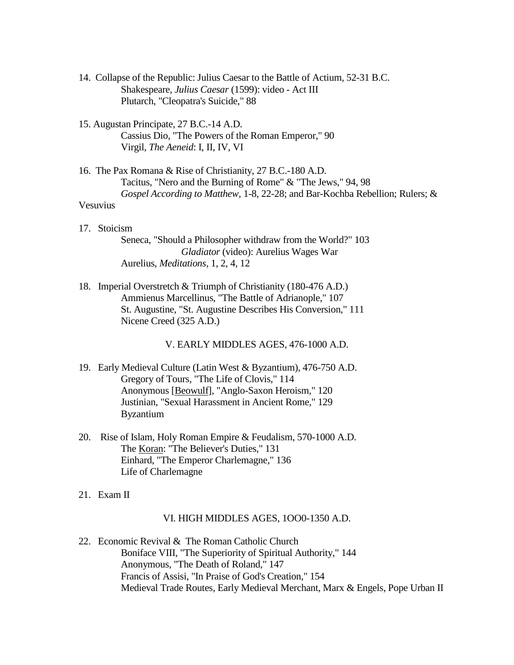- 14. Collapse of the Republic: Julius Caesar to the Battle of Actium, 52-31 B.C. Shakespeare, *Julius Caesar* (1599): video - Act III Plutarch, "Cleopatra's Suicide," 88
- 15. Augustan Principate, 27 B.C.-14 A.D. Cassius Dio, "The Powers of the Roman Emperor," 90 Virgil, *The Aeneid*: I, II, IV, VI
- 16. The Pax Romana & Rise of Christianity, 27 B.C.-180 A.D. Tacitus, "Nero and the Burning of Rome" & "The Jews," 94, 98 *Gospel According to Matthew,* 1-8, 22-28; and Bar-Kochba Rebellion; Rulers; & Vesuvius
- 17. Stoicism Seneca, "Should a Philosopher withdraw from the World?" 103 *Gladiator* (video): Aurelius Wages War Aurelius, *Meditations*, 1, 2, 4, 12
- 18. Imperial Overstretch & Triumph of Christianity (180-476 A.D.) Ammienus Marcellinus, "The Battle of Adrianople," 107 St. Augustine, "St. Augustine Describes His Conversion," 111 Nicene Creed (325 A.D.)

V. EARLY MIDDLES AGES, 476-1000 A.D.

- 19. Early Medieval Culture (Latin West & Byzantium), 476-750 A.D. Gregory of Tours, "The Life of Clovis," 114 Anonymous [Beowulf], "Anglo-Saxon Heroism," 120 Justinian, "Sexual Harassment in Ancient Rome," 129 Byzantium
- 20. Rise of Islam, Holy Roman Empire & Feudalism, 570-1000 A.D. The Koran: "The Believer's Duties," 131 Einhard, "The Emperor Charlemagne," 136 Life of Charlemagne
- 21. Exam II

# VI. HIGH MIDDLES AGES, 1OO0-1350 A.D.

22. Economic Revival & The Roman Catholic Church Boniface VIII, "The Superiority of Spiritual Authority," 144 Anonymous, "The Death of Roland," 147 Francis of Assisi, "In Praise of God's Creation," 154 Medieval Trade Routes, Early Medieval Merchant, Marx & Engels, Pope Urban II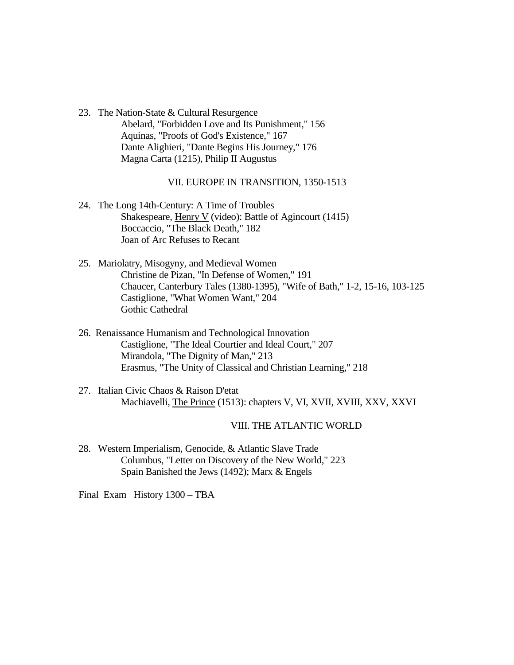23. The Nation-State & Cultural Resurgence Abelard, "Forbidden Love and Its Punishment," 156 Aquinas, "Proofs of God's Existence," 167 Dante Alighieri, "Dante Begins His Journey," 176 Magna Carta (1215), Philip II Augustus

# VII. EUROPE IN TRANSITION, 1350-1513

- 24. The Long 14th-Century: A Time of Troubles Shakespeare, Henry V (video): Battle of Agincourt (1415) Boccaccio, "The Black Death," 182 Joan of Arc Refuses to Recant
- 25. Mariolatry, Misogyny, and Medieval Women Christine de Pizan, "In Defense of Women," 191 Chaucer, Canterbury Tales (1380-1395), "Wife of Bath," 1-2, 15-16, 103-125 Castiglione, "What Women Want," 204 Gothic Cathedral
- 26. Renaissance Humanism and Technological Innovation Castiglione, "The Ideal Courtier and Ideal Court," 207 Mirandola, "The Dignity of Man," 213 Erasmus, "The Unity of Classical and Christian Learning," 218
- 27. Italian Civic Chaos & Raison D'etat Machiavelli, The Prince (1513): chapters V, VI, XVII, XVIII, XXV, XXVI

# VIII. THE ATLANTIC WORLD

28. Western Imperialism, Genocide, & Atlantic Slave Trade Columbus, "Letter on Discovery of the New World," 223 Spain Banished the Jews (1492); Marx & Engels

Final Exam History 1300 – TBA